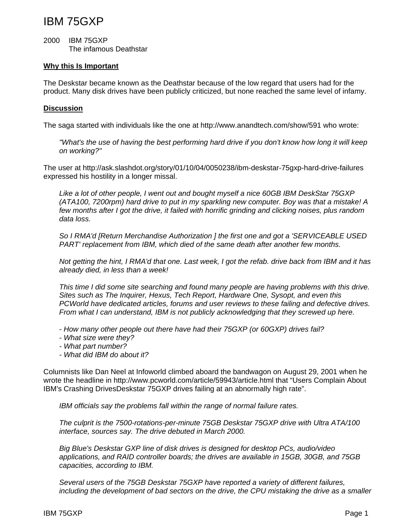## IBM 75GXP

2000 IBM 75GXP The infamous Deathstar

## **Why this Is Important**

The Deskstar became known as the Deathstar because of the low regard that users had for the product. Many disk drives have been publicly criticized, but none reached the same level of infamy.

## **Discussion**

The saga started with individuals like the one at http://www.anandtech.com/show/591 who wrote:

*"What's the use of having the best performing hard drive if you don't know how long it will keep on working?"* 

The user at http://ask.slashdot.org/story/01/10/04/0050238/ibm-deskstar-75gxp-hard-drive-failures expressed his hostility in a longer missal.

*Like a lot of other people, I went out and bought myself a nice 60GB IBM DeskStar 75GXP (ATA100, 7200rpm) hard drive to put in my sparkling new computer. Boy was that a mistake! A few months after I got the drive, it failed with horrific grinding and clicking noises, plus random data loss.* 

*So I RMA'd [Return Merchandise Authorization ] the first one and got a 'SERVICEABLE USED PART' replacement from IBM, which died of the same death after another few months.* 

*Not getting the hint, I RMA'd that one. Last week, I got the refab. drive back from IBM and it has already died, in less than a week!* 

*This time I did some site searching and found many people are having problems with this drive. Sites such as The Inquirer, Hexus, Tech Report, Hardware One, Sysopt, and even this PCWorld have dedicated articles, forums and user reviews to these failing and defective drives. From what I can understand, IBM is not publicly acknowledging that they screwed up here.* 

*- How many other people out there have had their 75GXP (or 60GXP) drives fail?* 

- *What size were they?*
- *What part number?*
- *What did IBM do about it?*

Columnists like Dan Neel at Infoworld climbed aboard the bandwagon on August 29, 2001 when he wrote the headline in http://www.pcworld.com/article/59943/article.html that "Users Complain About IBM's Crashing DrivesDeskstar 75GXP drives failing at an abnormally high rate".

*IBM officials say the problems fall within the range of normal failure rates.* 

*The culprit is the 7500-rotations-per-minute 75GB Deskstar 75GXP drive with Ultra ATA/100 interface, sources say. The drive debuted in March 2000.* 

*Big Blue's Deskstar GXP line of disk drives is designed for desktop PCs, audio/video applications, and RAID controller boards; the drives are available in 15GB, 30GB, and 75GB capacities, according to IBM.* 

*Several users of the 75GB Deskstar 75GXP have reported a variety of different failures, including the development of bad sectors on the drive, the CPU mistaking the drive as a smaller*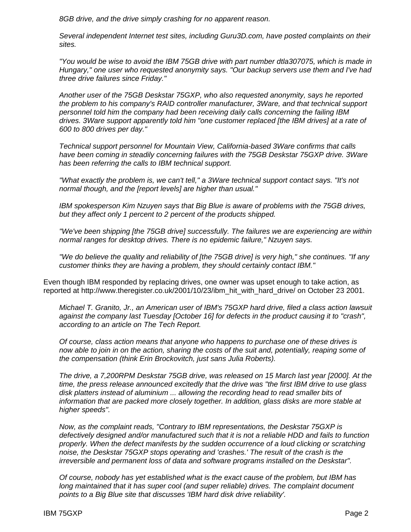*8GB drive, and the drive simply crashing for no apparent reason.* 

*Several independent Internet test sites, including Guru3D.com, have posted complaints on their sites.* 

*"You would be wise to avoid the IBM 75GB drive with part number dtla307075, which is made in Hungary," one user who requested anonymity says. "Our backup servers use them and I've had three drive failures since Friday."* 

*Another user of the 75GB Deskstar 75GXP, who also requested anonymity, says he reported the problem to his company's RAID controller manufacturer, 3Ware, and that technical support personnel told him the company had been receiving daily calls concerning the failing IBM drives. 3Ware support apparently told him "one customer replaced [the IBM drives] at a rate of 600 to 800 drives per day."* 

*Technical support personnel for Mountain View, California-based 3Ware confirms that calls have been coming in steadily concerning failures with the 75GB Deskstar 75GXP drive. 3Ware has been referring the calls to IBM technical support.* 

*"What exactly the problem is, we can't tell," a 3Ware technical support contact says. "It's not normal though, and the [report levels] are higher than usual."* 

*IBM spokesperson Kim Nzuyen says that Big Blue is aware of problems with the 75GB drives, but they affect only 1 percent to 2 percent of the products shipped.* 

*"We've been shipping [the 75GB drive] successfully. The failures we are experiencing are within normal ranges for desktop drives. There is no epidemic failure," Nzuyen says.* 

*"We do believe the quality and reliability of [the 75GB drive] is very high," she continues. "If any customer thinks they are having a problem, they should certainly contact IBM."*

Even though IBM responded by replacing drives, one owner was upset enough to take action, as reported at http://www.theregister.co.uk/2001/10/23/ibm\_hit\_with\_hard\_drive/ on October 23 2001.

*Michael T. Granito, Jr., an American user of IBM's 75GXP hard drive, filed a class action lawsuit against the company last Tuesday [October 16] for defects in the product causing it to "crash", according to an article on The Tech Report.* 

*Of course, class action means that anyone who happens to purchase one of these drives is now able to join in on the action, sharing the costs of the suit and, potentially, reaping some of the compensation (think Erin Brockovitch, just sans Julia Roberts).* 

*The drive, a 7,200RPM Deskstar 75GB drive, was released on 15 March last year [2000]. At the time, the press release announced excitedly that the drive was "the first IBM drive to use glass disk platters instead of aluminium ... allowing the recording head to read smaller bits of information that are packed more closely together. In addition, glass disks are more stable at higher speeds".* 

*Now, as the complaint reads, "Contrary to IBM representations, the Deskstar 75GXP is defectively designed and/or manufactured such that it is not a reliable HDD and fails to function properly. When the defect manifests by the sudden occurrence of a loud clicking or scratching noise, the Deskstar 75GXP stops operating and 'crashes.' The result of the crash is the irreversible and permanent loss of data and software programs installed on the Deskstar".* 

*Of course, nobody has yet established what is the exact cause of the problem, but IBM has*  long maintained that it has super cool (and super reliable) drives. The complaint document *points to a Big Blue site that discusses 'IBM hard disk drive reliability'.*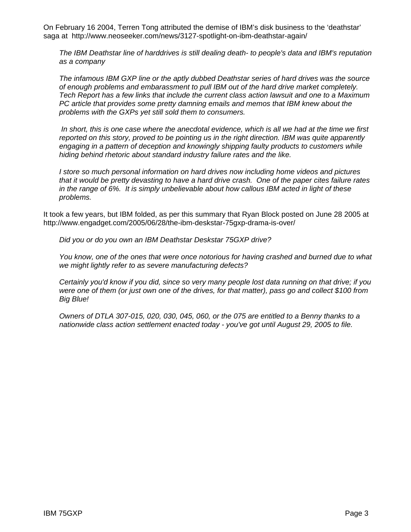On February 16 2004, Terren Tong attributed the demise of IBM's disk business to the 'deathstar' saga at http://www.neoseeker.com/news/3127-spotlight-on-ibm-deathstar-again/

*The IBM Deathstar line of harddrives is still dealing death- to people's data and IBM's reputation as a company* 

*The infamous IBM GXP line or the aptly dubbed Deathstar series of hard drives was the source of enough problems and embarassment to pull IBM out of the hard drive market completely. Tech Report has a few links that include the current class action lawsuit and one to a Maximum PC article that provides some pretty damning emails and memos that IBM knew about the problems with the GXPs yet still sold them to consumers.* 

 *In short, this is one case where the anecdotal evidence, which is all we had at the time we first reported on this story, proved to be pointing us in the right direction. IBM was quite apparently engaging in a pattern of deception and knowingly shipping faulty products to customers while hiding behind rhetoric about standard industry failure rates and the like.* 

*I store so much personal information on hard drives now including home videos and pictures that it would be pretty devasting to have a hard drive crash. One of the paper cites failure rates in the range of 6%. It is simply unbelievable about how callous IBM acted in light of these problems.*

It took a few years, but IBM folded, as per this summary that Ryan Block posted on June 28 2005 at http://www.engadget.com/2005/06/28/the-ibm-deskstar-75gxp-drama-is-over/

*Did you or do you own an IBM Deathstar Deskstar 75GXP drive?* 

*You know, one of the ones that were once notorious for having crashed and burned due to what we might lightly refer to as severe manufacturing defects?* 

*Certainly you'd know if you did, since so very many people lost data running on that drive; if you were one of them (or just own one of the drives, for that matter), pass go and collect \$100 from Big Blue!* 

*Owners of DTLA 307-015, 020, 030, 045, 060, or the 075 are entitled to a Benny thanks to a nationwide class action settlement enacted today - you've got until August 29, 2005 to file.*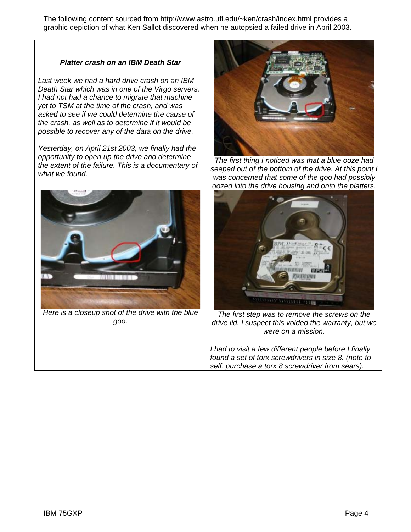The following content sourced from http://www.astro.ufl.edu/~ken/crash/index.html provides a graphic depiction of what Ken Sallot discovered when he autopsied a failed drive in April 2003.

## *Platter crash on an IBM Death Star*

*Last week we had a hard drive crash on an IBM Death Star which was in one of the Virgo servers. I had not had a chance to migrate that machine yet to TSM at the time of the crash, and was asked to see if we could determine the cause of the crash, as well as to determine if it would be possible to recover any of the data on the drive.* 

*Yesterday, on April 21st 2003, we finally had the opportunity to open up the drive and determine the extent of the failure. This is a documentary of what we found.* 



*Here is a closeup shot of the drive with the blue goo.* 



*The first thing I noticed was that a blue ooze had seeped out of the bottom of the drive. At this point I was concerned that some of the goo had possibly oozed into the drive housing and onto the platters.* 



*The first step was to remove the screws on the drive lid. I suspect this voided the warranty, but we were on a mission.* 

*I had to visit a few different people before I finally found a set of torx screwdrivers in size 8. (note to self: purchase a torx 8 screwdriver from sears).*